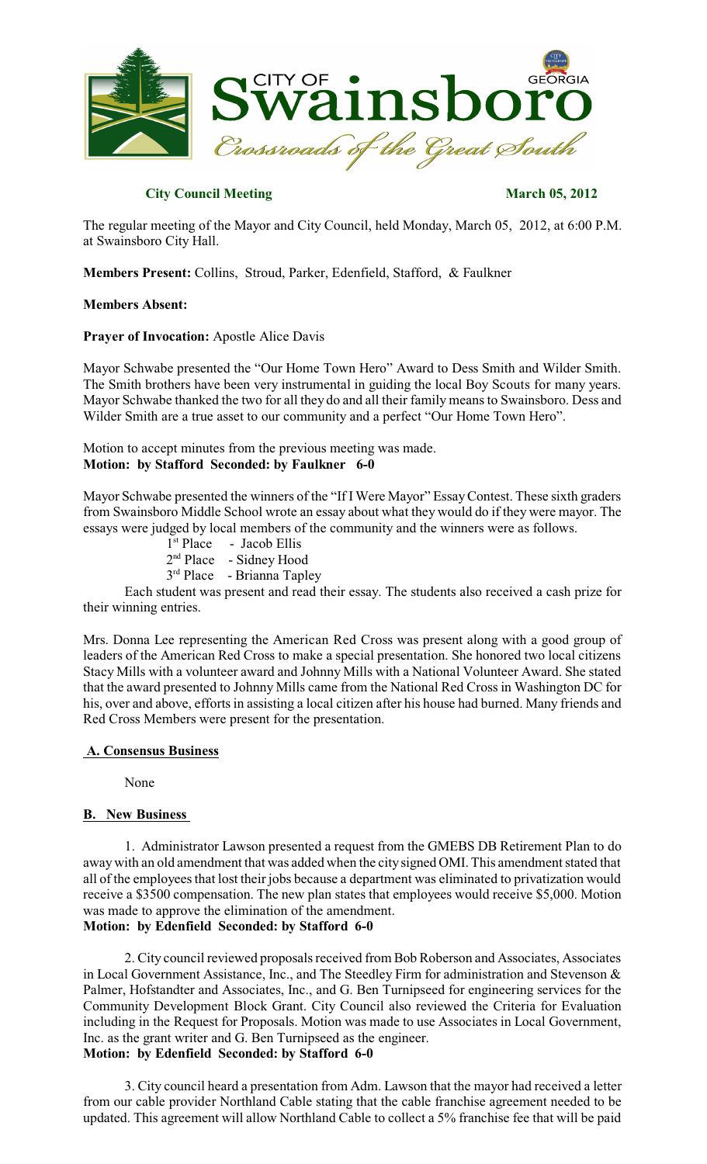

# **City Council Meeting March 05, 2012**

The regular meeting of the Mayor and City Council, held Monday, March 05, 2012, at 6:00 P.M. at Swainsboro City Hall.

**Members Present:** Collins, Stroud, Parker, Edenfield, Stafford, & Faulkner

### **Members Absent:**

### **Prayer of Invocation:** Apostle Alice Davis

Mayor Schwabe presented the "Our Home Town Hero" Award to Dess Smith and Wilder Smith. The Smith brothers have been very instrumental in guiding the local Boy Scouts for many years. Mayor Schwabe thanked the two for all they do and all their family meansto Swainsboro. Dess and Wilder Smith are a true asset to our community and a perfect "Our Home Town Hero".

Motion to accept minutes from the previous meeting was made. **Motion: by Stafford Seconded: by Faulkner 6-0**

Mayor Schwabe presented the winners of the "If IWere Mayor" EssayContest. These sixth graders from Swainsboro Middle School wrote an essay about what they would do if they were mayor. The essays were judged by local members of the community and the winners were as follows.

- 1<sup>st</sup> Place Jacob Ellis
- 2<sup>nd</sup> Place Sidney Hood
- 3<sup>rd</sup> Place Brianna Tapley

Each student was present and read their essay. The students also received a cash prize for their winning entries.

Mrs. Donna Lee representing the American Red Cross was present along with a good group of leaders of the American Red Cross to make a special presentation. She honored two local citizens Stacy Mills with a volunteer award and Johnny Mills with a National Volunteer Award. She stated that the award presented to Johnny Mills came from the National Red Crossin Washington DC for his, over and above, efforts in assisting a local citizen after his house had burned. Many friends and Red Cross Members were present for the presentation.

### **A. Consensus Business**

None

### **B. New Business**

1. Administrator Lawson presented a request from the GMEBS DB Retirement Plan to do away with an old amendment that was added when the citysigned OMI. This amendment stated that all of the employees that lost their jobs because a department was eliminated to privatization would receive a \$3500 compensation. The new plan states that employees would receive \$5,000. Motion was made to approve the elimination of the amendment.

### **Motion: by Edenfield Seconded: by Stafford 6-0**

2. City council reviewed proposals received from Bob Roberson and Associates, Associates in Local Government Assistance, Inc., and The Steedley Firm for administration and Stevenson & Palmer, Hofstandter and Associates, Inc., and G. Ben Turnipseed for engineering services for the Community Development Block Grant. City Council also reviewed the Criteria for Evaluation including in the Request for Proposals. Motion was made to use Associates in Local Government, Inc. as the grant writer and G. Ben Turnipseed as the engineer. **Motion: by Edenfield Seconded: by Stafford 6-0**

3. City council heard a presentation from Adm. Lawson that the mayor had received a letter from our cable provider Northland Cable stating that the cable franchise agreement needed to be updated. This agreement will allow Northland Cable to collect a 5% franchise fee that will be paid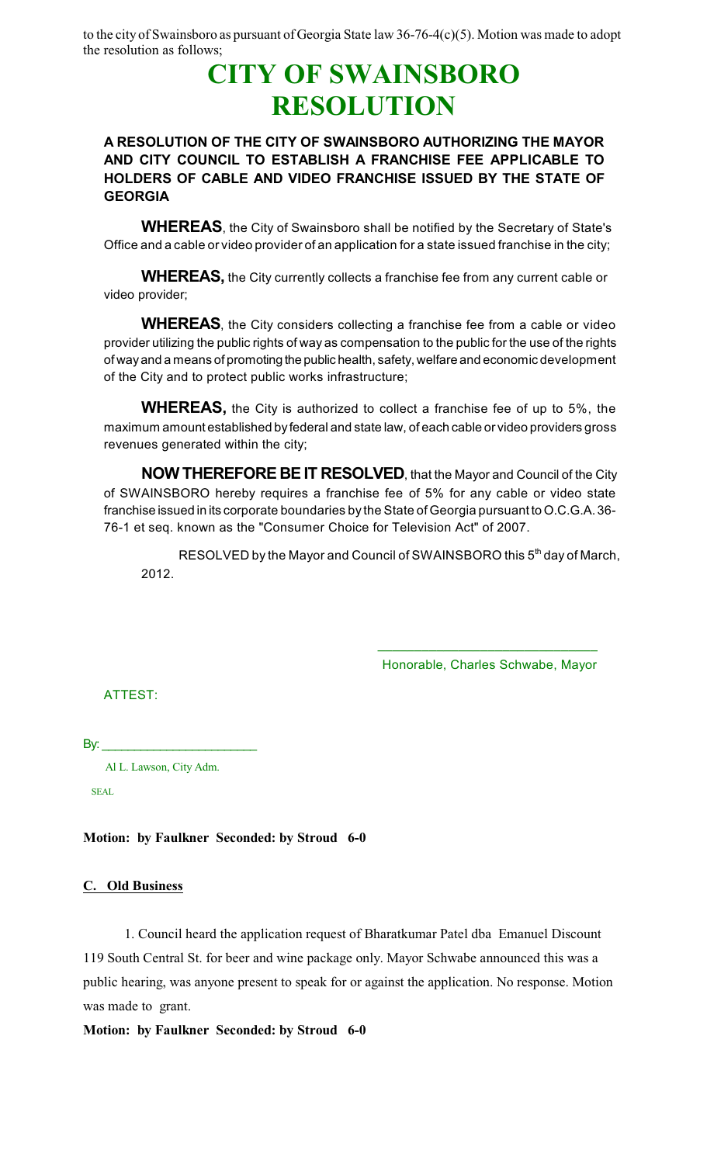to the city of Swainsboro as pursuant of Georgia State law 36-76-4(c)(5). Motion was made to adopt the resolution as follows;

# **CITY OF SWAINSBORO RESOLUTION**

# **A RESOLUTION OF THE CITY OF SWAINSBORO AUTHORIZING THE MAYOR AND CITY COUNCIL TO ESTABLISH A FRANCHISE FEE APPLICABLE TO HOLDERS OF CABLE AND VIDEO FRANCHISE ISSUED BY THE STATE OF GEORGIA**

**WHEREAS**, the City of Swainsboro shall be notified by the Secretary of State's Office and a cable or video provider of an application for a state issued franchise in the city;

**WHEREAS,** the City currently collects a franchise fee from any current cable or video provider;

**WHEREAS**, the City considers collecting a franchise fee from a cable or video provider utilizing the public rights of way as compensation to the public for the use of the rights of wayand a means of promoting the public health, safety, welfare and economic development of the City and to protect public works infrastructure;

**WHEREAS,** the City is authorized to collect a franchise fee of up to 5%, the maximum amount established by federal and state law, of each cable or video providers gross revenues generated within the city;

**NOW THEREFORE BEIT RESOLVED**, that the Mayor and Council of the City of SWAINSBORO hereby requires a franchise fee of 5% for any cable or video state franchise issued in its corporate boundaries by the State of Georgia pursuant to O.C.G.A. 36- 76-1 et seq. known as the "Consumer Choice for Television Act" of 2007.

RESOLVED by the Mayor and Council of SWAINSBORO this 5<sup>th</sup> day of March, 2012.

> \_\_\_\_\_\_\_\_\_\_\_\_\_\_\_\_\_\_\_\_\_\_\_\_\_\_\_\_\_\_ Honorable, Charles Schwabe, Mayor

ATTEST:

By:  $\_$ 

Al L. Lawson, City Adm.

SEAL

# **Motion: by Faulkner Seconded: by Stroud 6-0**

# **C. Old Business**

1. Council heard the application request of Bharatkumar Patel dba Emanuel Discount 119 South Central St. for beer and wine package only. Mayor Schwabe announced this was a public hearing, was anyone present to speak for or against the application. No response. Motion was made to grant.

# **Motion: by Faulkner Seconded: by Stroud 6-0**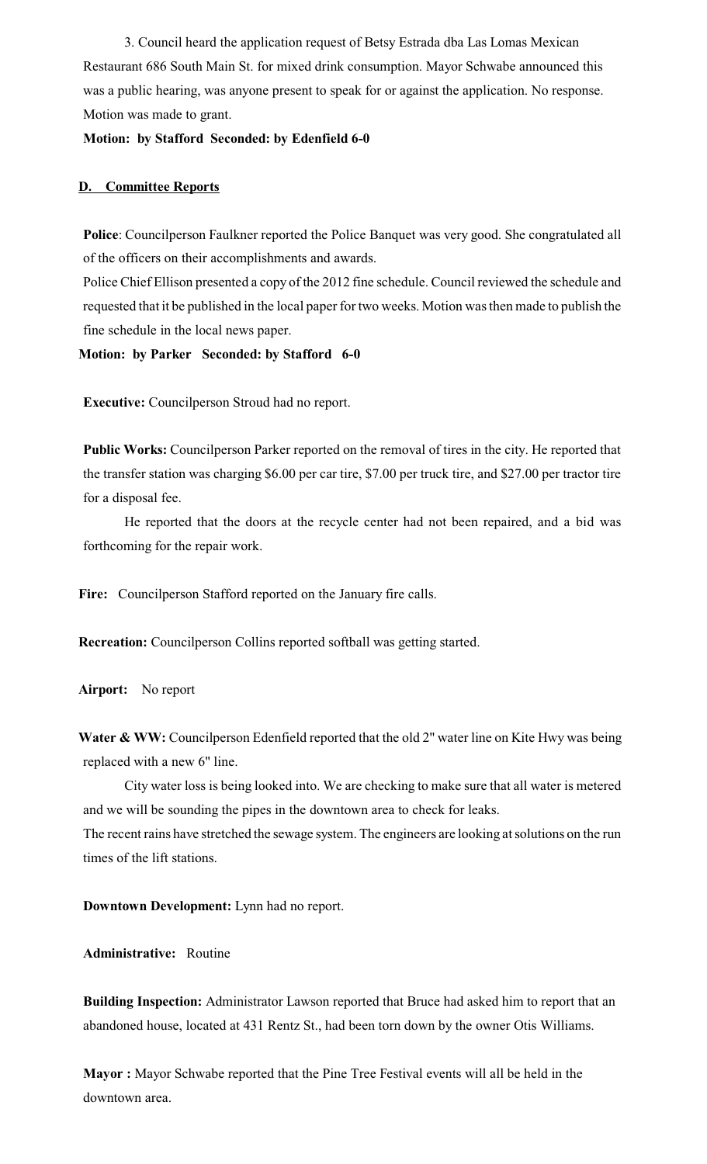3. Council heard the application request of Betsy Estrada dba Las Lomas Mexican Restaurant 686 South Main St. for mixed drink consumption. Mayor Schwabe announced this was a public hearing, was anyone present to speak for or against the application. No response. Motion was made to grant.

# **Motion: by Stafford Seconded: by Edenfield 6-0**

# **D. Committee Reports**

**Police**: Councilperson Faulkner reported the Police Banquet was very good. She congratulated all of the officers on their accomplishments and awards.

Police Chief Ellison presented a copy of the 2012 fine schedule. Council reviewed the schedule and requested that it be published in the local paper for two weeks. Motion wasthen made to publish the fine schedule in the local news paper.

**Motion: by Parker Seconded: by Stafford 6-0**

**Executive:** Councilperson Stroud had no report.

**Public Works:** Councilperson Parker reported on the removal of tires in the city. He reported that the transfer station was charging \$6.00 per car tire, \$7.00 per truck tire, and \$27.00 per tractor tire for a disposal fee.

He reported that the doors at the recycle center had not been repaired, and a bid was forthcoming for the repair work.

**Fire:** Councilperson Stafford reported on the January fire calls.

**Recreation:** Councilperson Collins reported softball was getting started.

**Airport:** No report

**Water & WW:** Councilperson Edenfield reported that the old 2" water line on Kite Hwy was being replaced with a new 6" line.

City water loss is being looked into. We are checking to make sure that all water is metered and we will be sounding the pipes in the downtown area to check for leaks.

The recent rains have stretched the sewage system. The engineers are looking at solutions on the run times of the lift stations.

**Downtown Development:** Lynn had no report.

**Administrative:** Routine

**Building Inspection:** Administrator Lawson reported that Bruce had asked him to report that an abandoned house, located at 431 Rentz St., had been torn down by the owner Otis Williams.

**Mayor :** Mayor Schwabe reported that the Pine Tree Festival events will all be held in the downtown area.